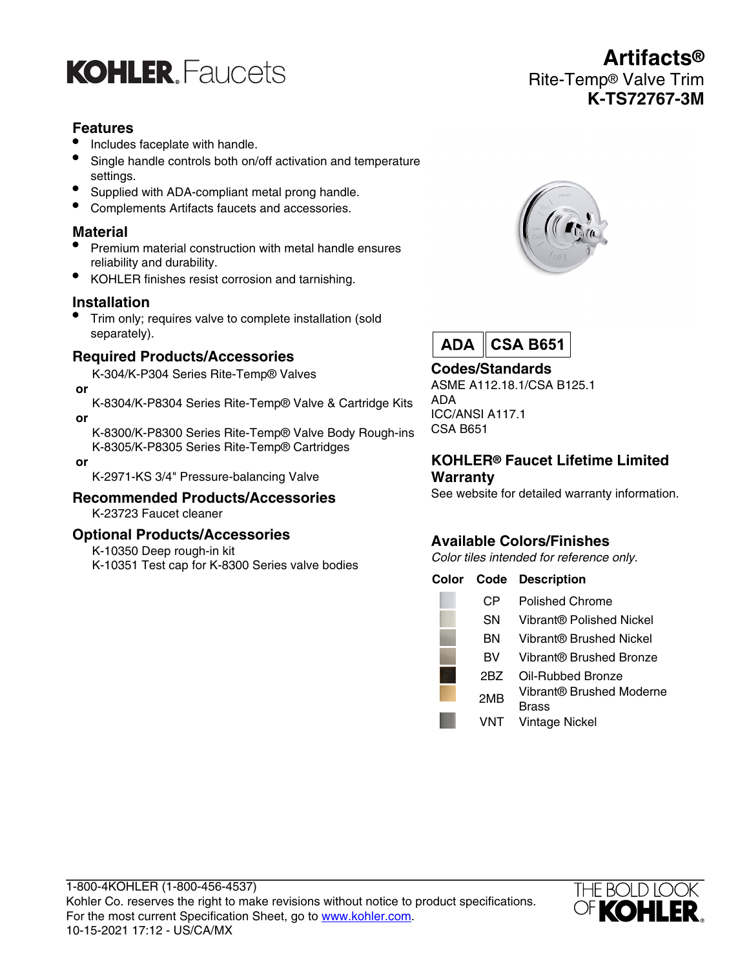

## **Features**

- Includes faceplate with handle.
- Single handle controls both on/off activation and temperature settings.
- Supplied with ADA-compliant metal prong handle.
- Complements Artifacts faucets and accessories.

#### **Material**

- Premium material construction with metal handle ensures reliability and durability.
- KOHLER finishes resist corrosion and tarnishing.

#### **Installation**

• Trim only; requires valve to complete installation (sold separately).

#### **Required Products/Accessories**

K-304/K-P304 Series Rite-Temp® Valves

 **or**

K-8304/K-P8304 Series Rite-Temp® Valve & Cartridge Kits  **or**

K-8300/K-P8300 Series Rite-Temp® Valve Body Rough-ins K-8305/K-P8305 Series Rite-Temp® Cartridges

 **or**

K-2971-KS 3/4" Pressure-balancing Valve

#### **Recommended Products/Accessories** K-23723 Faucet cleaner

#### **Optional Products/Accessories**

K-10350 Deep rough-in kit

K-10351 Test cap for K-8300 Series valve bodies

# **Artifacts®** Rite-Temp® Valve Trim **K-TS72767-3M**





## **Codes/Standards**

ASME A112.18.1/CSA B125.1 ADA ICC/ANSI A117.1 CSA B651

#### **KOHLER® Faucet Lifetime Limited Warranty**

See website for detailed warranty information.

## **Available Colors/Finishes**

Color tiles intended for reference only.

#### **Color Code Description**

| СP        | Polished Chrome                   |
|-----------|-----------------------------------|
| <b>SN</b> | Vibrant® Polished Nickel          |
| ΒN        | Vibrant® Brushed Nickel           |
| вv        | Vibrant® Brushed Bronze           |
| 2BZ       | Oil-Rubbed Bronze                 |
| 2MB       | Vibrant® Brushed Moderne<br>Brass |
| VNT       | Vintage Nickel                    |